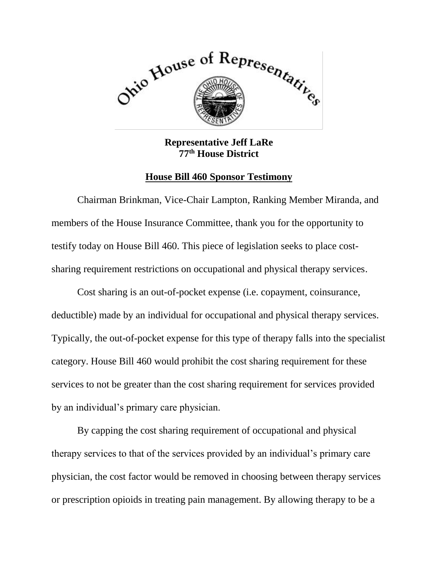

**Representative Jeff LaRe 77th House District**

## **House Bill 460 Sponsor Testimony**

Chairman Brinkman, Vice-Chair Lampton, Ranking Member Miranda, and members of the House Insurance Committee, thank you for the opportunity to testify today on House Bill 460. This piece of legislation seeks to place costsharing requirement restrictions on occupational and physical therapy services.

Cost sharing is an out-of-pocket expense (i.e. copayment, coinsurance, deductible) made by an individual for occupational and physical therapy services. Typically, the out-of-pocket expense for this type of therapy falls into the specialist category. House Bill 460 would prohibit the cost sharing requirement for these services to not be greater than the cost sharing requirement for services provided by an individual's primary care physician.

By capping the cost sharing requirement of occupational and physical therapy services to that of the services provided by an individual's primary care physician, the cost factor would be removed in choosing between therapy services or prescription opioids in treating pain management. By allowing therapy to be a